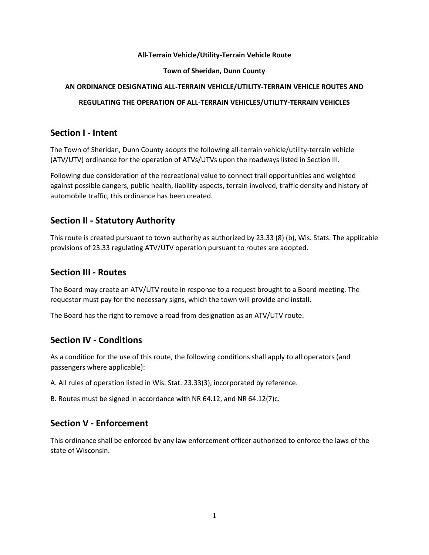#### **All-Terrain Vehicle/Utility-Terrain Vehicle Route**

#### **Town of Sheridan, Dunn County**

#### **AN ORDINANCE DESIGNATING ALL-TERRAIN VEHICLE/UTILITY-TERRAIN VEHICLE ROUTES AND**

### **REGULATING THE OPERATION OF ALL-TERRAIN VEHICLES/UTILITY-TERRAIN VEHICLES**

### **Section I - Intent**

The Town of Sheridan, Dunn County adopts the following all-terrain vehicle/utility-terrain vehicle (ATV/UTV) ordinance for the operation of ATVs/UTVs upon the roadways listed in Section III.

Following due consideration of the recreational value to connect trail opportunities and weighted against possible dangers, public health, liability aspects, terrain involved, traffic density and history of automobile traffic, this ordinance has been created.

# **Section II - Statutory Authority**

This route is created pursuant to town authority as authorized by 23.33 (8) (b), Wis. Stats. The applicable provisions of 23.33 regulating ATV/UTV operation pursuant to routes are adopted.

### **Section III - Routes**

The Board may create an ATV/UTV route in response to a request brought to a Board meeting. The requestor must pay for the necessary signs, which the town will provide and install.

The Board has the right to remove a road from designation as an ATV/UTV route.

### **Section IV - Conditions**

As a condition for the use of this route, the following conditions shall apply to all operators (and passengers where applicable):

A. All rules of operation listed in Wis. Stat. 23.33(3), incorporated by reference.

B. Routes must be signed in accordance with NR 64.12, and NR 64.12(7)c.

# **Section V - Enforcement**

This ordinance shall be enforced by any law enforcement officer authorized to enforce the laws of the state of Wisconsin.